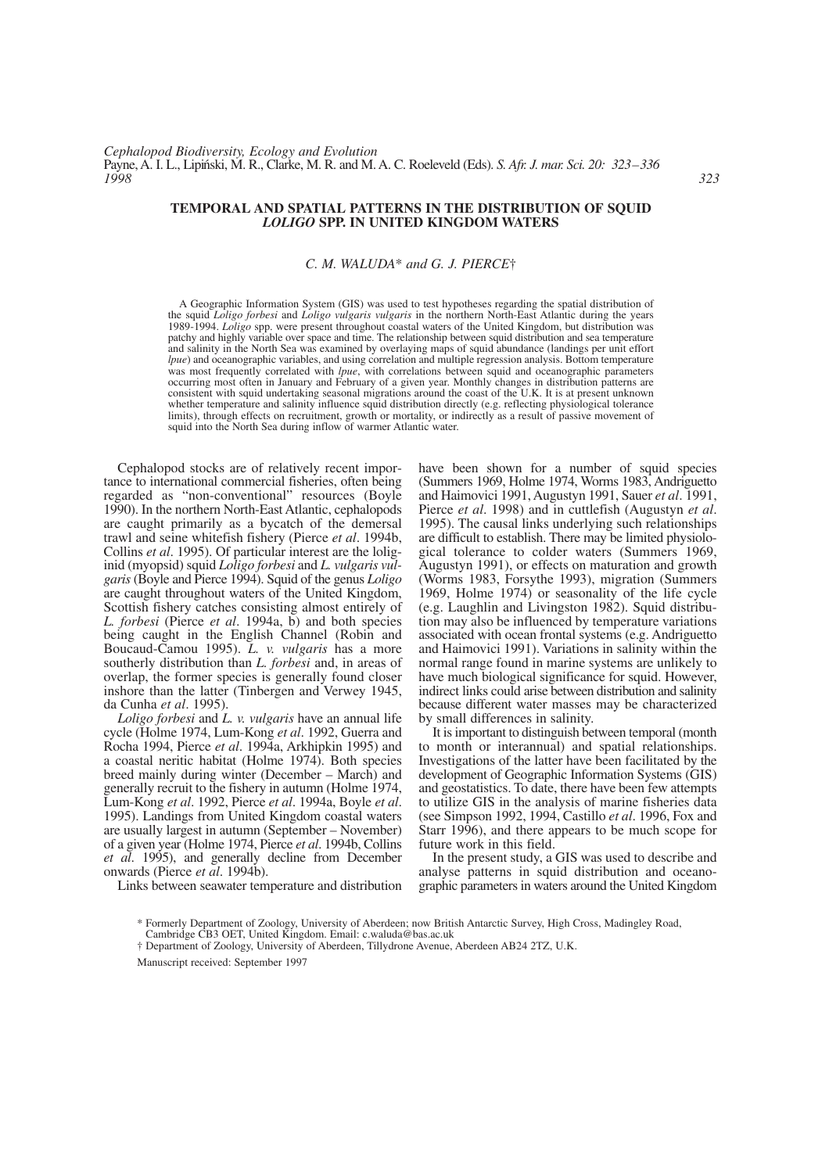# **TEMPORAL AND SPATIAL PATTERNS IN THE DISTRIBUTION OF SQUID** *LOLIGO* **SPP. IN UNITED KINGDOM WATERS**

# *C. M. WALUDA*\* *and G. J. PIERCE*†

A Geographic Information System (GIS) was used to test hypotheses regarding the spatial distribution of the squid *Loligo forbesi* and *Loligo vulgaris vulgaris* in the northern North-East Atlantic during the years 1989-1994. *Loligo* spp. were present throughout coastal waters of the United Kingdom, but distribution was patchy and highly variable over space and time. The relationship between squid distribution and sea temperature and salinity in the North Sea was examined by overlaying maps of squid abundance (landings per unit effort *lpue*) and oceanographic variables, and using correlation and multiple regression analysis. Bottom temperature was most frequently correlated with *lpue*, with correlations between squid and oceanographic parameters occurring most often in January and February of a given year. Monthly changes in distribution patterns are consistent with squid undertaking seasonal migrations around the coast of the U.K. It is at present unknown whether temperature and salinity influence squid distribution directly (e.g. reflecting physiological tolerance limits), through effects on recruitment, growth or mortality, or indirectly as a result of passive movement of squid into the North Sea during inflow of warmer Atlantic water.

Cephalopod stocks are of relatively recent importance to international commercial fisheries, often being regarded as "non-conventional" resources (Boyle 1990). In the northern North-East Atlantic, cephalopods are caught primarily as a bycatch of the demersal trawl and seine whitefish fishery (Pierce *et al*. 1994b, Collins *et al*. 1995). Of particular interest are the loliginid (myopsid) squid *Loligo forbesi* and *L. vulgaris vulgaris*(Boyle and Pierce 1994). Squid of the genus *Loligo* are caught throughout waters of the United Kingdom, Scottish fishery catches consisting almost entirely of *L. forbesi* (Pierce *et al*. 1994a, b) and both species being caught in the English Channel (Robin and Boucaud-Camou 1995). *L. v. vulgaris* has a more southerly distribution than *L. forbesi* and, in areas of overlap, the former species is generally found closer inshore than the latter (Tinbergen and Verwey 1945, da Cunha *et al*. 1995).

*Loligo forbesi* and *L. v. vulgaris* have an annual life cycle (Holme 1974, Lum-Kong *et al*. 1992, Guerra and Rocha 1994, Pierce *et al*. 1994a, Arkhipkin 1995) and a coastal neritic habitat (Holme 1974). Both species breed mainly during winter (December – March) and generally recruit to the fishery in autumn (Holme 1974, Lum-Kong *et al*. 1992, Pierce *et al*. 1994a, Boyle *et al*. 1995). Landings from United Kingdom coastal waters are usually largest in autumn (September – November) of a given year (Holme 1974, Pierce *et al*. 1994b, Collins *et al*. 1995), and generally decline from December onwards (Pierce *et al*. 1994b).

Links between seawater temperature and distribution

have been shown for a number of squid species (Summers 1969, Holme 1974, Worms 1983, Andriguetto and Haimovici 1991, Augustyn 1991, Sauer *et al*. 1991, Pierce *et al*. 1998) and in cuttlefish (Augustyn *et al*. 1995). The causal links underlying such relationships are difficult to establish. There may be limited physiological tolerance to colder waters (Summers 1969, Augustyn 1991), or effects on maturation and growth (Worms 1983, Forsythe 1993), migration (Summers 1969, Holme 1974) or seasonality of the life cycle (e.g. Laughlin and Livingston 1982). Squid distribution may also be influenced by temperature variations associated with ocean frontal systems (e.g. Andriguetto and Haimovici 1991). Variations in salinity within the normal range found in marine systems are unlikely to have much biological significance for squid. However, indirect links could arise between distribution and salinity because different water masses may be characterized by small differences in salinity.

It is important to distinguish between temporal (month to month or interannual) and spatial relationships. Investigations of the latter have been facilitated by the development of Geographic Information Systems (GIS) and geostatistics. To date, there have been few attempts to utilize GIS in the analysis of marine fisheries data (see Simpson 1992, 1994, Castillo *et al*. 1996, Fox and Starr 1996), and there appears to be much scope for future work in this field.

In the present study, a GIS was used to describe and analyse patterns in squid distribution and oceanographic parameters in waters around the United Kingdom

Manuscript received: September 1997

<sup>\*</sup> Formerly Department of Zoology, University of Aberdeen; now British Antarctic Survey, High Cross, Madingley Road,

<sup>\*</sup> Cambridge CB3 OET, United Kingdom. Email: c.waluda@bas.ac.uk † Department of Zoology, University of Aberdeen, Tillydrone Avenue, Aberdeen AB24 2TZ, U.K.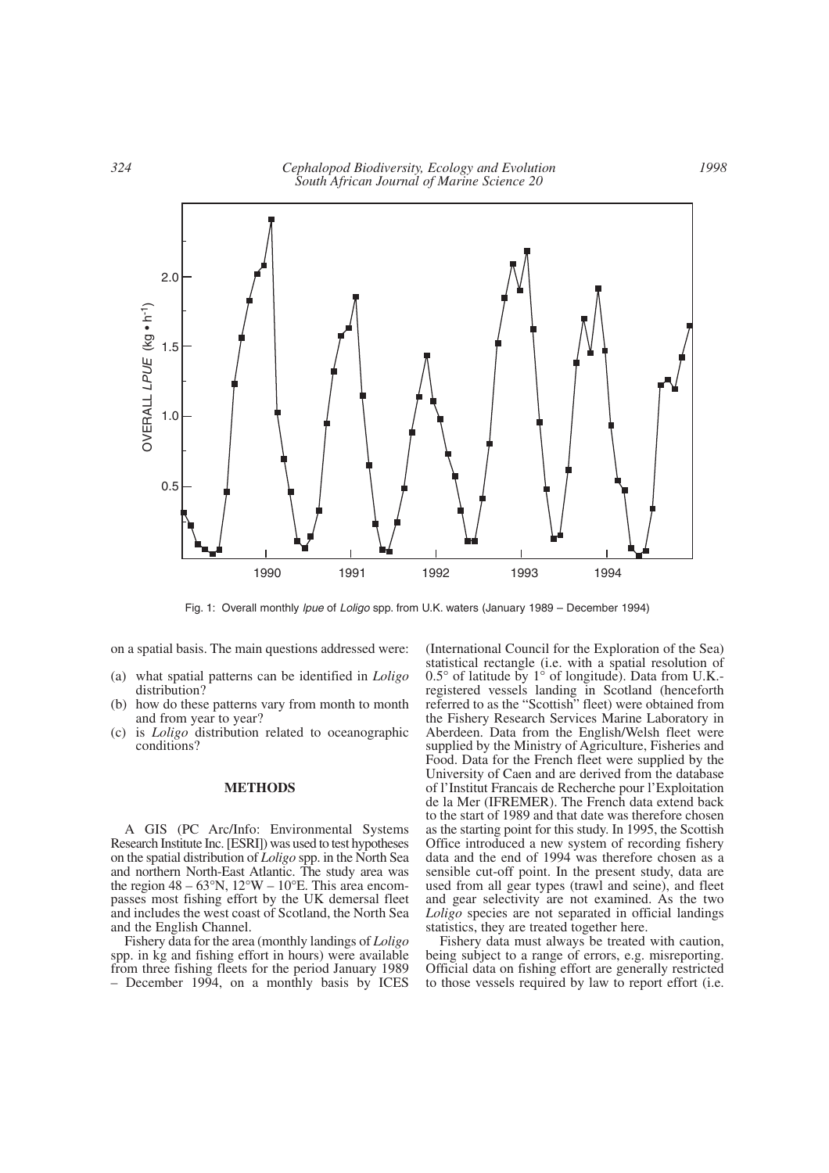

Fig. 1: Overall monthly *lpue* of *Loligo* spp. from U.K. waters (January 1989 – December 1994)

on a spatial basis. The main questions addressed were:

- (a) what spatial patterns can be identified in *Loligo* distribution?
- (b) how do these patterns vary from month to month and from year to year?
- (c) is *Loligo* distribution related to oceanographic conditions?

#### **METHODS**

A GIS (PC Arc/Info: Environmental Systems Research Institute Inc. [ESRI]) was used to test hypotheses on the spatial distribution of *Loligo* spp. in the North Sea and northern North-East Atlantic. The study area was the region  $48 - 63^{\circ}N$ ,  $12^{\circ}W - 10^{\circ}E$ . This area encompasses most fishing effort by the UK demersal fleet and includes the west coast of Scotland, the North Sea and the English Channel.

Fishery data for the area (monthly landings of *Loligo* spp. in kg and fishing effort in hours) were available from three fishing fleets for the period January 1989 – December 1994, on a monthly basis by ICES (International Council for the Exploration of the Sea) statistical rectangle (i.e. with a spatial resolution of 0.5° of latitude by 1° of longitude). Data from U.K. registered vessels landing in Scotland (henceforth referred to as the "Scottish" fleet) were obtained from the Fishery Research Services Marine Laboratory in Aberdeen. Data from the English/Welsh fleet were supplied by the Ministry of Agriculture, Fisheries and Food. Data for the French fleet were supplied by the University of Caen and are derived from the database of l'Institut Francais de Recherche pour l'Exploitation de la Mer (IFREMER). The French data extend back to the start of 1989 and that date was therefore chosen as the starting point for this study. In 1995, the Scottish Office introduced a new system of recording fishery data and the end of 1994 was therefore chosen as a sensible cut-off point. In the present study, data are used from all gear types (trawl and seine), and fleet and gear selectivity are not examined. As the two *Loligo* species are not separated in official landings statistics, they are treated together here.

Fishery data must always be treated with caution, being subject to a range of errors, e.g. misreporting. Official data on fishing effort are generally restricted to those vessels required by law to report effort (i.e.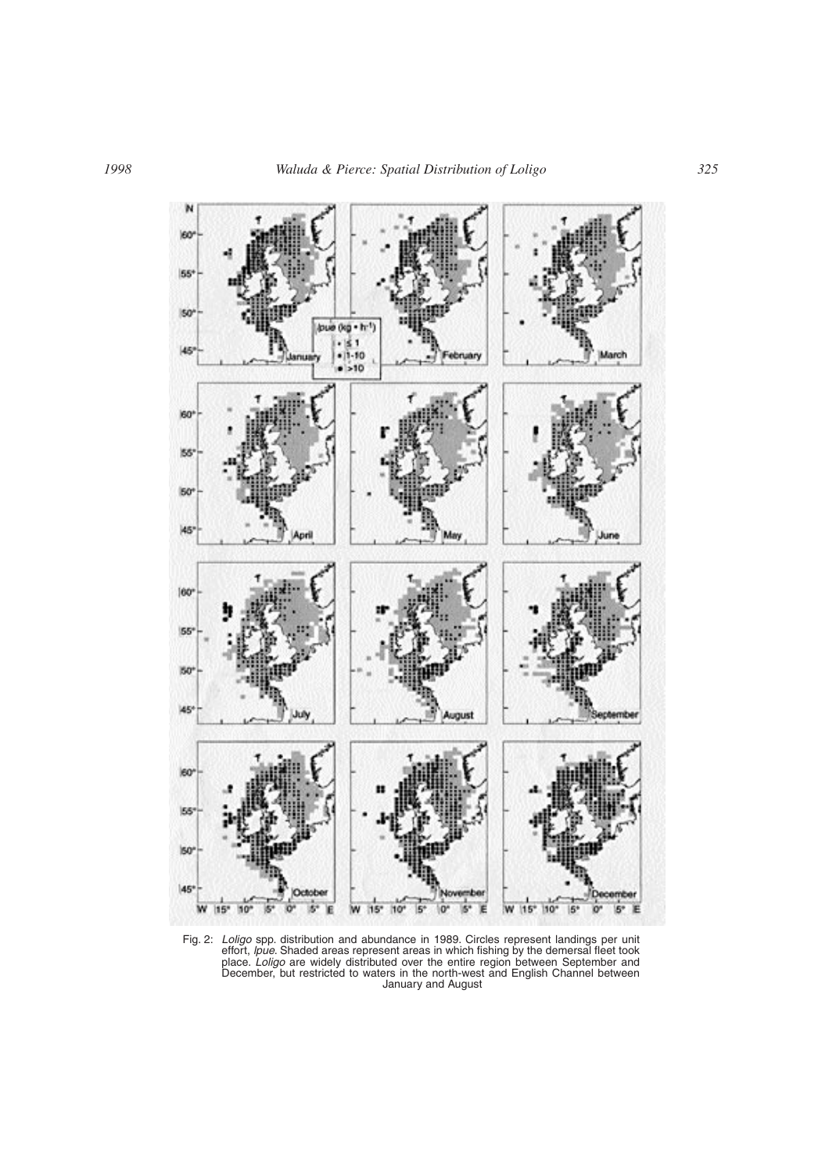

Fig. 2: *Loligo* spp. distribution and abundance in 1989. Circles represent landings per unit effort, *lpue*. Shaded areas represent areas in which fishing by the demersal fleet took place. *Loligo* are widely distributed over the entire region between September and December, but restricted to waters in the north-west and English Channel between January and August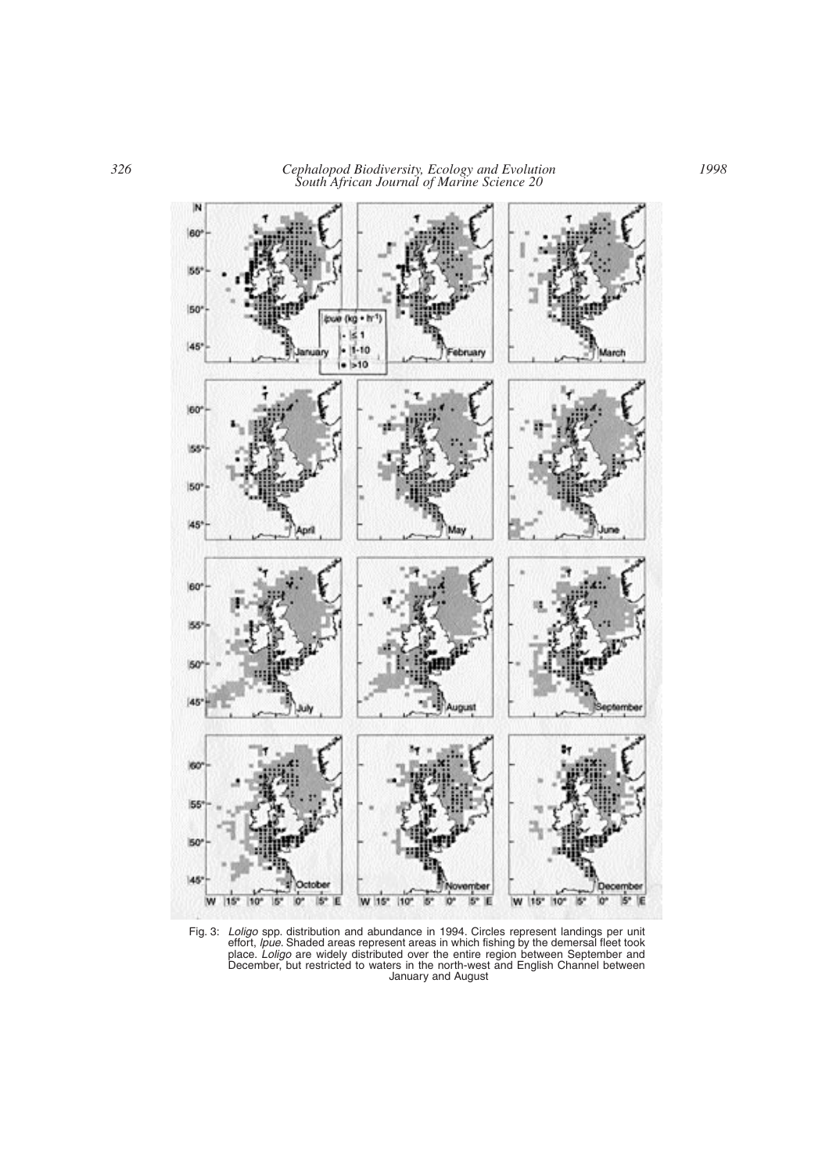

Fig. 3: *Loligo* spp. distribution and abundance in 1994. Circles represent landings per unit effort, *lpue*. Shaded areas represent areas in which fishing by the demersal fleet took place. *Loligo* are widely distributed over the entire region between September and December, but restricted to waters in the north-west and English Channel between January and August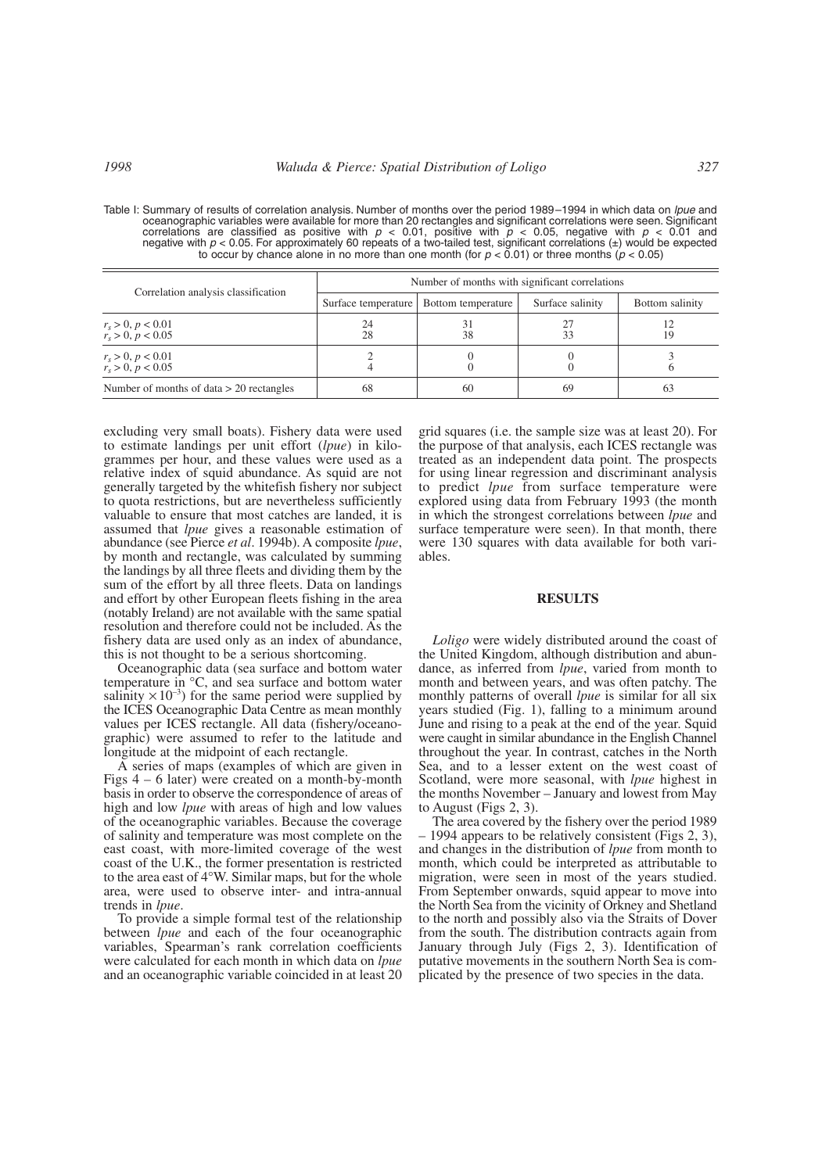Table I: Summary of results of correlation analysis. Number of months over the period 1989–1994 in which data on *lpue* and oceanographic variables were available for more than 20 rectangles and significant correlations were seen. Significant correlations are classified as positive with *p* < 0.01, positive with *p* < 0.05, negative with *p* < 0.01 and negative with *p* < 0.05. For approximately 60 repeats of a two-tailed test, significant correlations (±) would be expected to occur by chance alone in no more than one month (for *p* < 0.01) or three months (*p* < 0.05)

| Correlation analysis classification        | Number of months with significant correlations |                    |                  |                 |  |  |  |  |  |
|--------------------------------------------|------------------------------------------------|--------------------|------------------|-----------------|--|--|--|--|--|
|                                            | Surface temperature                            | Bottom temperature | Surface salinity | Bottom salinity |  |  |  |  |  |
| $r_s > 0, p < 0.01$<br>$r_s > 0, p < 0.05$ | 24<br>28                                       | 31<br>38           | 27<br>33         |                 |  |  |  |  |  |
| $r_s > 0, p < 0.01$<br>$r_s > 0, p < 0.05$ |                                                |                    |                  |                 |  |  |  |  |  |
| Number of months of data $> 20$ rectangles | 68                                             | 60                 | 69               | 63              |  |  |  |  |  |

excluding very small boats). Fishery data were used to estimate landings per unit effort (*lpue*) in kilogrammes per hour, and these values were used as a relative index of squid abundance. As squid are not generally targeted by the whitefish fishery nor subject to quota restrictions, but are nevertheless sufficiently valuable to ensure that most catches are landed, it is assumed that *lpue* gives a reasonable estimation of abundance (see Pierce *et al*. 1994b). A composite *lpue*, by month and rectangle, was calculated by summing the landings by all three fleets and dividing them by the sum of the effort by all three fleets. Data on landings and effort by other European fleets fishing in the area (notably Ireland) are not available with the same spatial resolution and therefore could not be included. As the fishery data are used only as an index of abundance, this is not thought to be a serious shortcoming.

Oceanographic data (sea surface and bottom water temperature in °C, and sea surface and bottom water salinity  $\times 10^{-3}$ ) for the same period were supplied by the ICES Oceanographic Data Centre as mean monthly values per ICES rectangle. All data (fishery/oceanographic) were assumed to refer to the latitude and longitude at the midpoint of each rectangle.

A series of maps (examples of which are given in Figs 4 – 6 later) were created on a month-by-month basis in order to observe the correspondence of areas of high and low *lpue* with areas of high and low values of the oceanographic variables. Because the coverage of salinity and temperature was most complete on the east coast, with more-limited coverage of the west coast of the U.K., the former presentation is restricted to the area east of 4°W. Similar maps, but for the whole area, were used to observe inter- and intra-annual trends in *lpue*.

To provide a simple formal test of the relationship between *lpue* and each of the four oceanographic variables, Spearman's rank correlation coefficients were calculated for each month in which data on *lpue* and an oceanographic variable coincided in at least 20 grid squares (i.e. the sample size was at least 20). For the purpose of that analysis, each ICES rectangle was treated as an independent data point. The prospects for using linear regression and discriminant analysis to predict *lpue* from surface temperature were explored using data from February 1993 (the month in which the strongest correlations between *lpue* and surface temperature were seen). In that month, there were 130 squares with data available for both variables.

## **RESULTS**

*Loligo* were widely distributed around the coast of the United Kingdom, although distribution and abundance, as inferred from *lpue*, varied from month to month and between years, and was often patchy. The monthly patterns of overall *lpue* is similar for all six years studied (Fig. 1), falling to a minimum around June and rising to a peak at the end of the year. Squid were caught in similar abundance in the English Channel throughout the year. In contrast, catches in the North Sea, and to a lesser extent on the west coast of Scotland, were more seasonal, with *lpue* highest in the months November – January and lowest from May to August (Figs 2, 3).

The area covered by the fishery over the period 1989 – 1994 appears to be relatively consistent (Figs 2, 3), and changes in the distribution of *lpue* from month to month, which could be interpreted as attributable to migration, were seen in most of the years studied. From September onwards, squid appear to move into the North Sea from the vicinity of Orkney and Shetland to the north and possibly also via the Straits of Dover from the south. The distribution contracts again from January through July (Figs 2, 3). Identification of putative movements in the southern North Sea is complicated by the presence of two species in the data.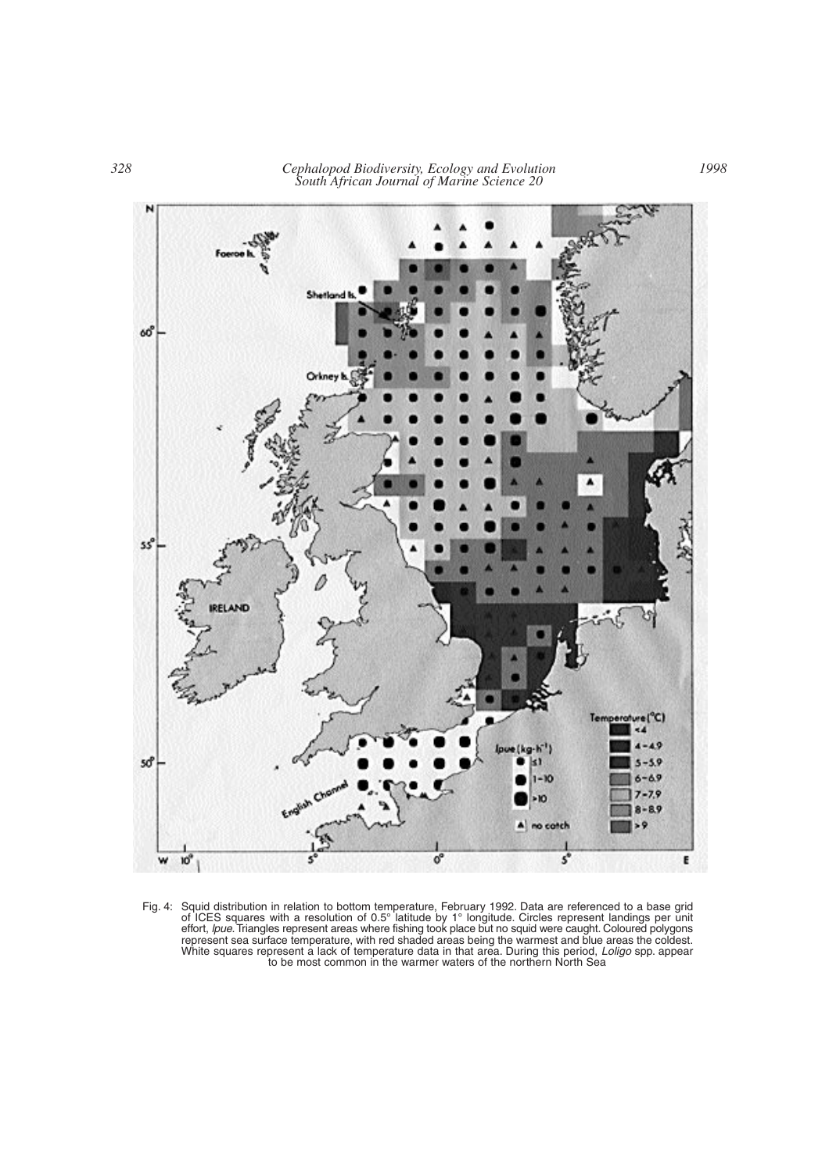

Fig. 4: Squid distribution in relation to bottom temperature, February 1992. Data are referenced to a base grid of ICES squares with a resolution of 0.5° latitude by 1° longitude. Circles represent landings per unit effort, *lpue*.Triangles represent areas where fishing took place but no squid were caught. Coloured polygons represent sea surface temperature, with red shaded areas being the warmest and blue areas the coldest. White squares represent a lack of temperature data in that area. During this period, *Loligo* spp. appear to be most common in the warmer waters of the northern North Sea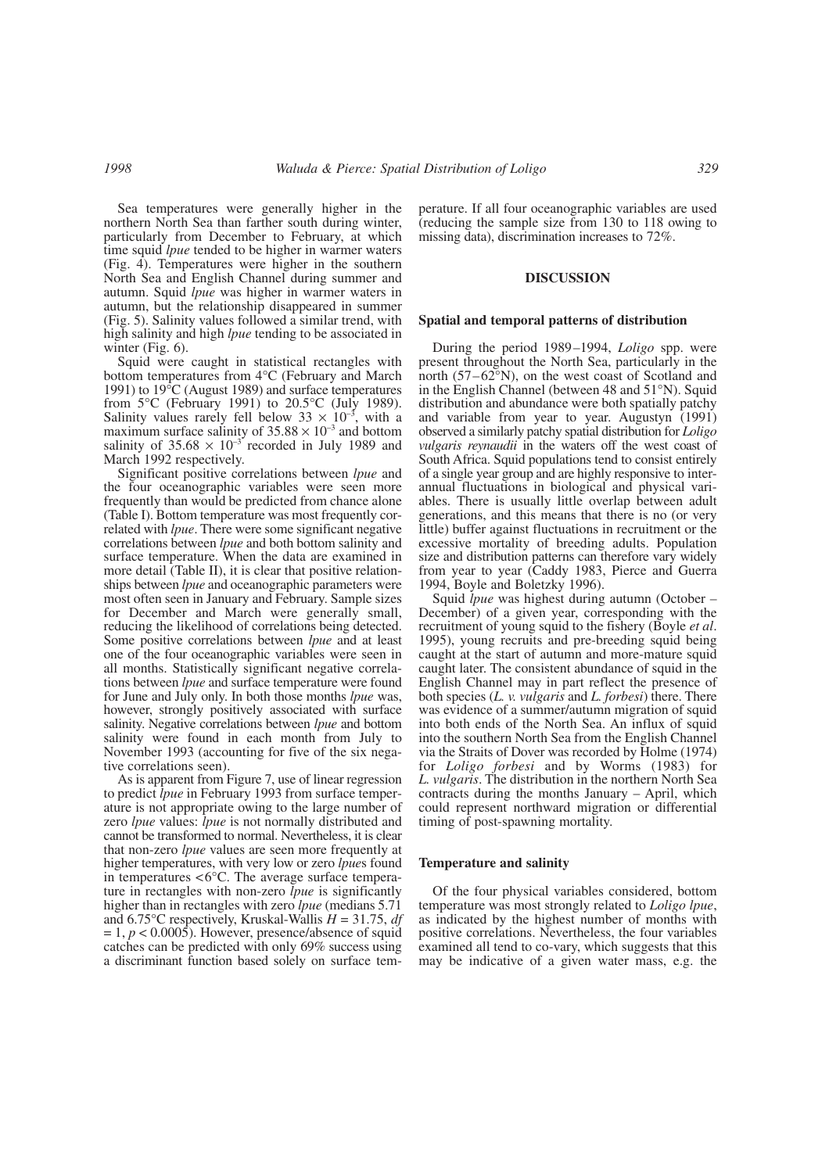Sea temperatures were generally higher in the northern North Sea than farther south during winter, particularly from December to February, at which time squid *lpue* tended to be higher in warmer waters (Fig. 4). Temperatures were higher in the southern North Sea and English Channel during summer and autumn. Squid *lpue* was higher in warmer waters in autumn, but the relationship disappeared in summer (Fig. 5). Salinity values followed a similar trend, with high salinity and high *lpue* tending to be associated in winter (Fig. 6).

Squid were caught in statistical rectangles with bottom temperatures from 4°C (February and March 1991) to 19°C (August 1989) and surface temperatures from  $5^{\circ}$ C (February 1991) to  $20.5^{\circ}$ C (July 1989). Salinity values rarely fell below  $33 \times 10^{-3}$ , with a maximum surface salinity of  $35.88 \times 10^{-3}$  and bottom salinity of  $35.68 \times 10^{-3}$  recorded in July 1989 and March 1992 respectively.

Significant positive correlations between *lpue* and the four oceanographic variables were seen more frequently than would be predicted from chance alone (Table I). Bottom temperature was most frequently correlated with *lpue*. There were some significant negative correlations between *lpue* and both bottom salinity and surface temperature. When the data are examined in more detail (Table II), it is clear that positive relationships between *lpue* and oceanographic parameters were most often seen in January and February. Sample sizes for December and March were generally small, reducing the likelihood of correlations being detected. Some positive correlations between *lpue* and at least one of the four oceanographic variables were seen in all months. Statistically significant negative correlations between *lpue* and surface temperature were found for June and July only. In both those months *lpue* was, however, strongly positively associated with surface salinity. Negative correlations between *lpue* and bottom salinity were found in each month from July to November 1993 (accounting for five of the six negative correlations seen).

As is apparent from Figure 7, use of linear regression to predict *lpue* in February 1993 from surface temperature is not appropriate owing to the large number of zero *lpue* values: *lpue* is not normally distributed and cannot be transformed to normal. Nevertheless, it is clear that non-zero *lpue* values are seen more frequently at higher temperatures, with very low or zero *lpue*s found in temperatures <6°C. The average surface temperature in rectangles with non-zero *lpue* is significantly higher than in rectangles with zero *lpue* (medians 5.71 and 6.75°C respectively, Kruskal-Wallis *H* = 31.75, *df*  $= 1, p < 0.0005$ ). However, presence/absence of squid catches can be predicted with only 69% success using a discriminant function based solely on surface temperature. If all four oceanographic variables are used (reducing the sample size from 130 to 118 owing to missing data), discrimination increases to 72%.

## **DISCUSSION**

#### **Spatial and temporal patterns of distribution**

During the period 1989–1994, *Loligo* spp. were present throughout the North Sea, particularly in the north (57–62°N), on the west coast of Scotland and in the English Channel (between 48 and 51°N). Squid distribution and abundance were both spatially patchy and variable from year to year. Augustyn (1991) observed a similarly patchy spatial distribution for *Loligo vulgaris reynaudii* in the waters off the west coast of South Africa. Squid populations tend to consist entirely of a single year group and are highly responsive to interannual fluctuations in biological and physical variables. There is usually little overlap between adult generations, and this means that there is no (or very little) buffer against fluctuations in recruitment or the excessive mortality of breeding adults. Population size and distribution patterns can therefore vary widely from year to year (Caddy 1983, Pierce and Guerra 1994, Boyle and Boletzky 1996).

Squid *lpue* was highest during autumn (October – December) of a given year, corresponding with the recruitment of young squid to the fishery (Boyle *et al*. 1995), young recruits and pre-breeding squid being caught at the start of autumn and more-mature squid caught later. The consistent abundance of squid in the English Channel may in part reflect the presence of both species (*L. v. vulgaris* and *L. forbesi*) there. There was evidence of a summer/autumn migration of squid into both ends of the North Sea. An influx of squid into the southern North Sea from the English Channel via the Straits of Dover was recorded by Holme (1974) for *Loligo forbesi* and by Worms (1983) for *L. vulgaris*. The distribution in the northern North Sea contracts during the months January – April, which could represent northward migration or differential timing of post-spawning mortality.

#### **Temperature and salinity**

Of the four physical variables considered, bottom temperature was most strongly related to *Loligo lpue*, as indicated by the highest number of months with positive correlations. Nevertheless, the four variables examined all tend to co-vary, which suggests that this may be indicative of a given water mass, e.g. the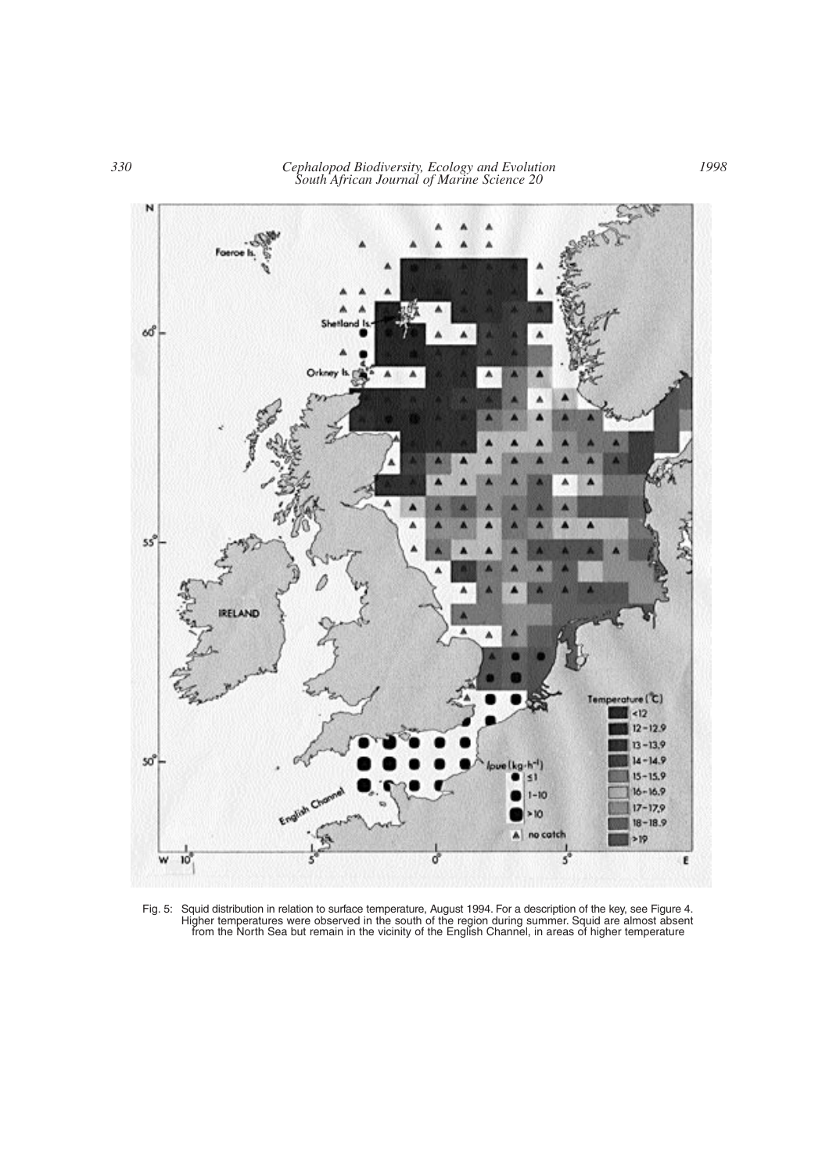

Fig. 5: Squid distribution in relation to surface temperature, August 1994. For a description of the key, see Figure 4. Higher temperatures were observed in the south of the region during summer. Squid are almost absent from the North Sea but remain in the vicinity of the English Channel, in areas of higher temperature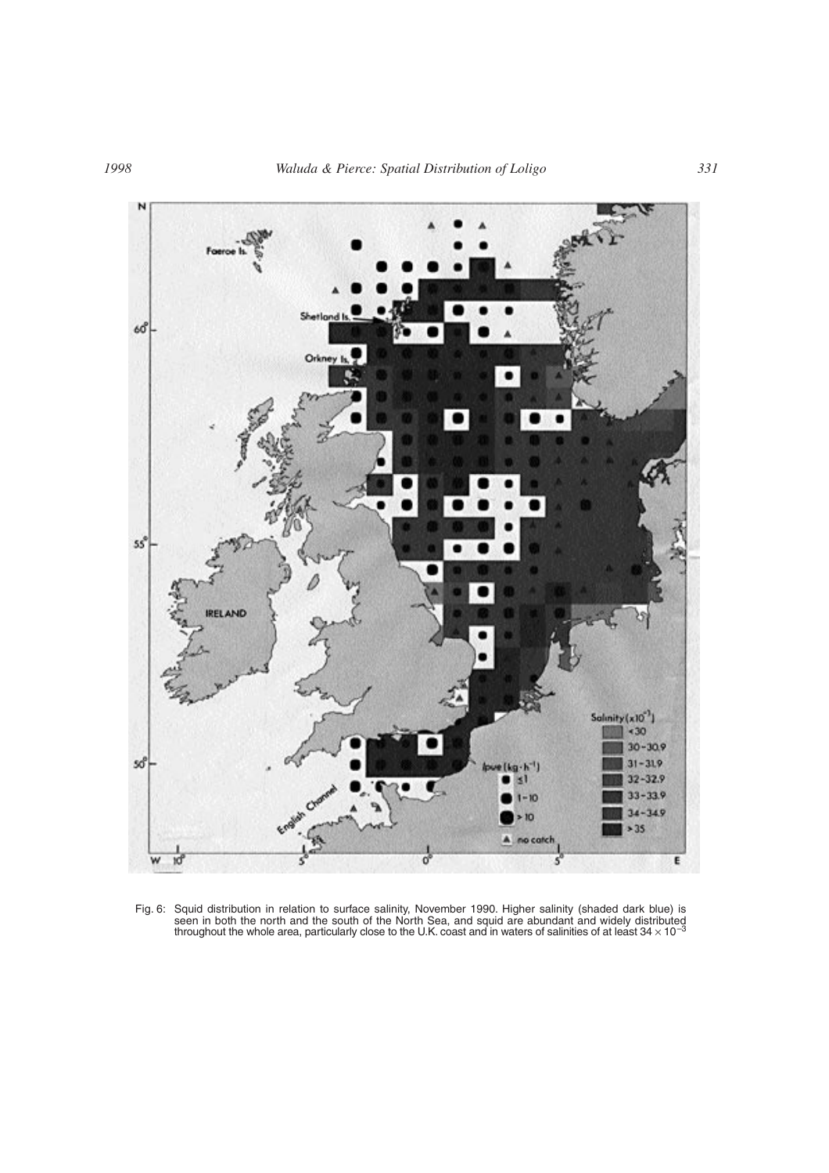

Fig. 6: Squid distribution in relation to surface salinity, November 1990. Higher salinity (shaded dark blue) is seen in both the north and the south of the North Sea, and squid are abundant and widely distributed<br>throughout the whole area, particularly close to the U.K. coast and in waters of salinities of at least 34 × 10<sup>–3</sup>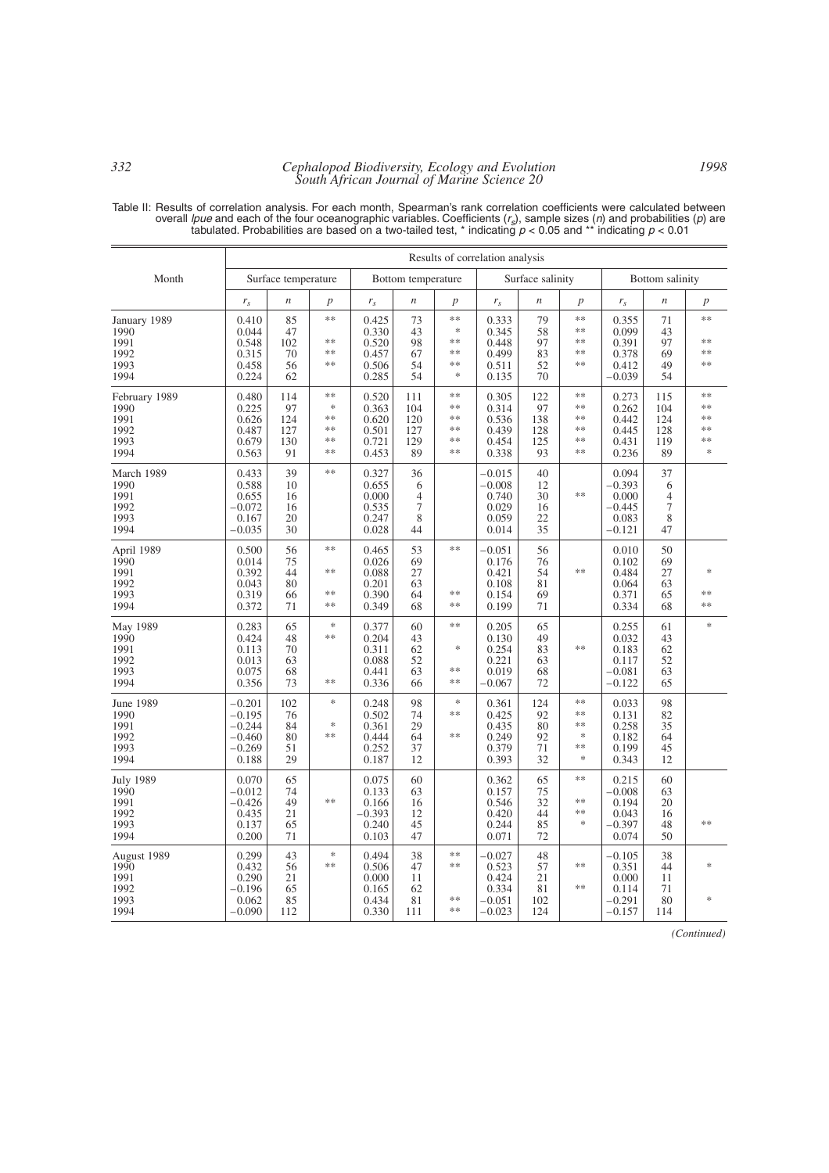## *332 Cephalopod Biodiversity, Ecology and Evolution South African Journal of Marine Science 20*

Table II: Results of correlation analysis. For each month, Spearman's rank correlation coefficients were calculated between<br>overall *lpue* and each of the four oceanographic variables. Coefficients (r<sub>s</sub>), sample sizes (n

|                                                          | Results of correlation analysis                                   |                                      |                                                 |                                                       |                                           |                                            |                                                             |                                      |                                        |                                                             |                                           |                                         |
|----------------------------------------------------------|-------------------------------------------------------------------|--------------------------------------|-------------------------------------------------|-------------------------------------------------------|-------------------------------------------|--------------------------------------------|-------------------------------------------------------------|--------------------------------------|----------------------------------------|-------------------------------------------------------------|-------------------------------------------|-----------------------------------------|
| Month                                                    | Surface temperature                                               |                                      | Bottom temperature                              |                                                       |                                           | Surface salinity                           |                                                             |                                      | Bottom salinity                        |                                                             |                                           |                                         |
|                                                          | $r_{s}$                                                           | $\boldsymbol{n}$                     | $\boldsymbol{p}$                                | $r_{s}$                                               | $\boldsymbol{n}$                          | $\boldsymbol{p}$                           | $r_{\rm s}$                                                 | $\boldsymbol{n}$                     | $\boldsymbol{p}$                       | $r_{\rm s}$                                                 | $\boldsymbol{n}$                          | $\boldsymbol{p}$                        |
| January 1989<br>1990<br>1991<br>1992<br>1993<br>1994     | 0.410<br>0.044<br>0.548<br>0.315<br>0.458<br>0.224                | 85<br>47<br>102<br>70<br>56<br>62    | **<br>$**$<br>**<br>$**$                        | 0.425<br>0.330<br>0.520<br>0.457<br>0.506<br>0.285    | 73<br>43<br>98<br>67<br>54<br>54          | **<br>$\ast$<br>$**$<br>**<br>**<br>$\ast$ | 0.333<br>0.345<br>0.448<br>0.499<br>0.511<br>0.135          | 79<br>58<br>97<br>83<br>52<br>70     | **<br>**<br>$**$<br>**<br>**           | 0.355<br>0.099<br>0.391<br>0.378<br>0.412<br>$-0.039$       | 71<br>43<br>97<br>69<br>49<br>54          | $**$<br>%<br>**<br>**                   |
| February 1989<br>1990<br>1991<br>1992<br>1993<br>1994    | 0.480<br>0.225<br>0.626<br>0.487<br>0.679<br>0.563                | 114<br>97<br>124<br>127<br>130<br>91 | $**$<br>$\frac{1}{2}$<br>**<br>**<br>**<br>$**$ | 0.520<br>0.363<br>0.620<br>0.501<br>0.721<br>0.453    | 111<br>104<br>120<br>127<br>129<br>89     | $**$<br>**<br>$**$<br>**<br>**<br>$**$     | 0.305<br>0.314<br>0.536<br>0.439<br>0.454<br>0.338          | 122<br>97<br>138<br>128<br>125<br>93 | $**$<br>**<br>$**$<br>**<br>**<br>$**$ | 0.273<br>0.262<br>0.442<br>0.445<br>0.431<br>0.236          | 115<br>104<br>124<br>128<br>119<br>89     | %<br>$**$<br>**<br>$**$<br>**<br>$\ast$ |
| March 1989<br>1990<br>1991<br>1992<br>1993<br>1994       | 0.433<br>0.588<br>0.655<br>-0.072<br>0.167<br>$-0.035$            | 39<br>10<br>16<br>16<br>20<br>30     | **                                              | 0.327<br>0.655<br>0.000<br>0.535<br>0.247<br>0.028    | 36<br>6<br>$\overline{4}$<br>7<br>8<br>44 |                                            | $-0.015$<br>$-0.008$<br>0.740<br>0.029<br>0.059<br>0.014    | 40<br>12<br>30<br>16<br>22<br>35     | **                                     | 0.094<br>$-0.393$<br>0.000<br>$-0.445$<br>0.083<br>$-0.121$ | 37<br>6<br>$\overline{4}$<br>7<br>8<br>47 |                                         |
| April 1989<br>1990<br>1991<br>1992<br>1993<br>1994       | 0.500<br>0.014<br>0.392<br>0.043<br>0.319<br>0.372                | 56<br>75<br>44<br>80<br>66<br>71     | **<br>**<br>**<br>**                            | 0.465<br>0.026<br>0.088<br>0.201<br>0.390<br>0.349    | 53<br>69<br>27<br>63<br>64<br>68          | **<br>**<br>**                             | $-0.051$<br>0.176<br>0.421<br>0.108<br>0.154<br>0.199       | 56<br>76<br>54<br>81<br>69<br>71     | **                                     | 0.010<br>0.102<br>0.484<br>0.064<br>0.371<br>0.334          | 50<br>69<br>27<br>63<br>65<br>68          | $\frac{1}{2}$<br>**<br>**               |
| May 1989<br>1990<br>1991<br>1992<br>1993<br>1994         | 0.283<br>0.424<br>0.113<br>0.013<br>0.075<br>0.356                | 65<br>48<br>70<br>63<br>68<br>73     | $\ast$<br>**<br>**                              | 0.377<br>0.204<br>0.311<br>0.088<br>0.441<br>0.336    | 60<br>43<br>62<br>52<br>63<br>66          | **<br>$\ast$<br>**<br>**                   | 0.205<br>0.130<br>0.254<br>0.221<br>0.019<br>$-0.067$       | 65<br>49<br>83<br>63<br>68<br>72     | **                                     | 0.255<br>0.032<br>0.183<br>0.117<br>$-0.081$<br>$-0.122$    | 61<br>43<br>62<br>52<br>63<br>65          | $\ast$                                  |
| June 1989<br>1990<br>1991<br>1992<br>1993<br>1994        | $-0.201$<br>$-0.195$<br>$-0.244$<br>$-0.460$<br>$-0.269$<br>0.188 | 102<br>76<br>84<br>80<br>51<br>29    | $\ast$<br>$\frac{1}{2}$<br>**                   | 0.248<br>0.502<br>0.361<br>0.444<br>0.252<br>0.187    | 98<br>74<br>29<br>64<br>37<br>12          | $\ast$<br>**<br>**                         | 0.361<br>0.425<br>0.435<br>0.249<br>0.379<br>0.393          | 124<br>92<br>80<br>92<br>71<br>32    | **<br>**<br>**<br>$\ast$<br>$**$<br>*  | 0.033<br>0.131<br>0.258<br>0.182<br>0.199<br>0.343          | 98<br>82<br>35<br>64<br>45<br>12          |                                         |
| <b>July 1989</b><br>1990<br>1991<br>1992<br>1993<br>1994 | 0.070<br>$-0.012$<br>$-0.426$<br>0.435<br>0.137<br>0.200          | 65<br>74<br>49<br>21<br>65<br>71     | $**$                                            | 0.075<br>0.133<br>0.166<br>$-0.393$<br>0.240<br>0.103 | 60<br>63<br>16<br>12<br>45<br>47          |                                            | 0.362<br>0.157<br>0.546<br>0.420<br>0.244<br>0.071          | 65<br>75<br>32<br>44<br>85<br>72     | **<br>$**$<br>**<br>$\ast$             | 0.215<br>$-0.008$<br>0.194<br>0.043<br>$-0.397$<br>0.074    | 60<br>63<br>20<br>16<br>48<br>50          | sie sie                                 |
| August 1989<br>1990<br>1991<br>1992<br>1993<br>1994      | 0.299<br>0.432<br>0.290<br>$-0.196$<br>0.062<br>$-0.090$          | 43<br>56<br>21<br>65<br>85<br>112    | $\frac{1}{2}$<br>**                             | 0.494<br>0.506<br>0.000<br>0.165<br>0.434<br>0.330    | 38<br>47<br>11<br>62<br>81<br>111         | **<br>**<br>**<br>$**$                     | $-0.027$<br>0.523<br>0.424<br>0.334<br>$-0.051$<br>$-0.023$ | 48<br>57<br>21<br>81<br>102<br>124   | **<br>**                               | $-0.105$<br>0.351<br>0.000<br>0.114<br>$-0.291$<br>$-0.157$ | 38<br>44<br>11<br>71<br>80<br>114         | $\frac{1}{2}$<br>$\frac{1}{2}$          |

*(Continued)*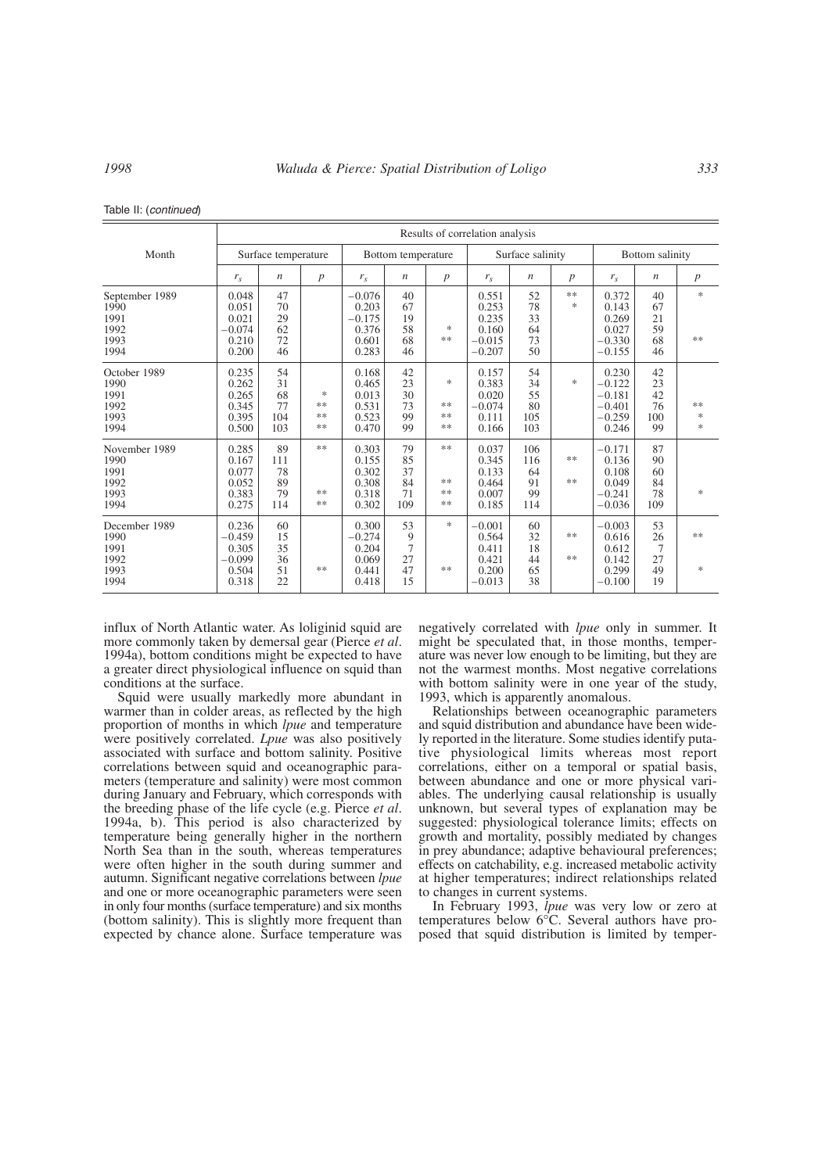|  |  | Table II: (continued) |
|--|--|-----------------------|
|--|--|-----------------------|

|                                                        | Results of correlation analysis                          |                                    |                                     |                                                          |                                   |                                                      |                                                          |                                     |                     |                                                                |                                   |                                      |
|--------------------------------------------------------|----------------------------------------------------------|------------------------------------|-------------------------------------|----------------------------------------------------------|-----------------------------------|------------------------------------------------------|----------------------------------------------------------|-------------------------------------|---------------------|----------------------------------------------------------------|-----------------------------------|--------------------------------------|
| Month                                                  | Surface temperature                                      |                                    | Bottom temperature                  |                                                          |                                   | Surface salinity                                     |                                                          |                                     | Bottom salinity     |                                                                |                                   |                                      |
|                                                        | $r_{s}$                                                  | $\boldsymbol{n}$                   | $\boldsymbol{p}$                    | $r_{s}$                                                  | $\boldsymbol{n}$                  | $\boldsymbol{p}$                                     | $r_{s}$                                                  | n                                   | p                   | $r_{s}$                                                        | $\boldsymbol{n}$                  | $\boldsymbol{p}$                     |
| September 1989<br>1990<br>1991<br>1992<br>1993<br>1994 | 0.048<br>0.051<br>0.021<br>$-0.074$<br>0.210<br>0.200    | 47<br>70<br>29<br>62<br>72<br>46   |                                     | $-0.076$<br>0.203<br>$-0.175$<br>0.376<br>0.601<br>0.283 | 40<br>67<br>19<br>58<br>68<br>46  | ∗<br>**                                              | 0.551<br>0.253<br>0.235<br>0.160<br>$-0.015$<br>$-0.207$ | 52<br>78<br>33<br>64<br>73<br>50    | **<br>$\frac{1}{2}$ | 0.372<br>0.143<br>0.269<br>0.027<br>$-0.330$<br>$-0.155$       | 40<br>67<br>21<br>59<br>68<br>46  | $\frac{1}{2}$<br>**                  |
| October 1989<br>1990<br>1991<br>1992<br>1993<br>1994   | 0.235<br>0.262<br>0.265<br>0.345<br>0.395<br>0.500       | 54<br>31<br>68<br>77<br>104<br>103 | $\frac{1}{2}$<br>**<br>**<br>$\ast$ | 0.168<br>0.465<br>0.013<br>0.531<br>0.523<br>0.470       | 42<br>23<br>30<br>73<br>99<br>99  | ∗<br>**<br>**<br>$\gg \gg$                           | 0.157<br>0.383<br>0.020<br>$-0.074$<br>0.111<br>0.166    | 54<br>34<br>55<br>80<br>105<br>103  | $\frac{1}{2}$       | 0.230<br>$-0.122$<br>$-0.181$<br>$-0.401$<br>$-0.259$<br>0.246 | 42<br>23<br>42<br>76<br>100<br>99 | **<br>$\frac{1}{2}$<br>$\frac{1}{2}$ |
| November 1989<br>1990<br>1991<br>1992<br>1993<br>1994  | 0.285<br>0.167<br>0.077<br>0.052<br>0.383<br>0.275       | 89<br>111<br>78<br>89<br>79<br>114 | **<br>**<br>**                      | 0.303<br>0.155<br>0.302<br>0.308<br>0.318<br>0.302       | 79<br>85<br>37<br>84<br>71<br>109 | $\frac{1}{2}$ $\frac{1}{2}$<br>**<br>$\gg \gg$<br>** | 0.037<br>0.345<br>0.133<br>0.464<br>0.007<br>0.185       | 106<br>116<br>64<br>91<br>99<br>114 | **<br>**            | $-0.171$<br>0.136<br>0.108<br>0.049<br>$-0.241$<br>$-0.036$    | 87<br>90<br>60<br>84<br>78<br>109 | $\frac{1}{2}$                        |
| December 1989<br>1990<br>1991<br>1992<br>1993<br>1994  | 0.236<br>$-0.459$<br>0.305<br>$-0.099$<br>0.504<br>0.318 | 60<br>15<br>35<br>36<br>51<br>22   | **                                  | 0.300<br>$-0.274$<br>0.204<br>0.069<br>0.441<br>0.418    | 53<br>9<br>7<br>27<br>47<br>15    | $\frac{1}{2}$<br>**                                  | $-0.001$<br>0.564<br>0.411<br>0.421<br>0.200<br>$-0.013$ | 60<br>32<br>18<br>44<br>65<br>38    | **<br>**            | $-0.003$<br>0.616<br>0.612<br>0.142<br>0.299<br>$-0.100$       | 53<br>26<br>7<br>27<br>49<br>19   | $*$<br>$\frac{1}{2}$                 |

influx of North Atlantic water. As loliginid squid are more commonly taken by demersal gear (Pierce  $et al$ . 1994a), bottom conditions might be expected to have a greater direct physiological influence on squid than conditions at the surface.

Squid were usually markedly more abundant in warmer than in colder areas, as reflected by the high proportion of months in which *lpue* and temperature were positively correlated. *Lpue* was also positively associated with surface and bottom salinity. Positive correlations between squid and oceanographic parameters (temperature and salinity) were most common during January and February, which corresponds with the breeding phase of the life cycle (e.g. Pierce *et al*. 1994a, b). This period is also characterized by temperature being generally higher in the northern North Sea than in the south, whereas temperatures were often higher in the south during summer and autumn. Significant negative correlations between *lpue* and one or more oceanographic parameters were seen in only four months (surface temperature) and six months (bottom salinity). This is slightly more frequent than expected by chance alone. Surface temperature was negatively correlated with *lpue* only in summer. It might be speculated that, in those months, temperature was never low enough to be limiting, but they are not the warmest months. Most negative correlations with bottom salinity were in one year of the study, 1993, which is apparently anomalous.

Relationships between oceanographic parameters and squid distribution and abundance have been widely reported in the literature. Some studies identify putative physiological limits whereas most report correlations, either on a temporal or spatial basis, between abundance and one or more physical variables. The underlying causal relationship is usually unknown, but several types of explanation may be suggested: physiological tolerance limits; effects on growth and mortality, possibly mediated by changes in prey abundance; adaptive behavioural preferences; effects on catchability, e.g. increased metabolic activity at higher temperatures; indirect relationships related to changes in current systems.

In February 1993, *lpue* was very low or zero at temperatures below 6°C. Several authors have proposed that squid distribution is limited by temper-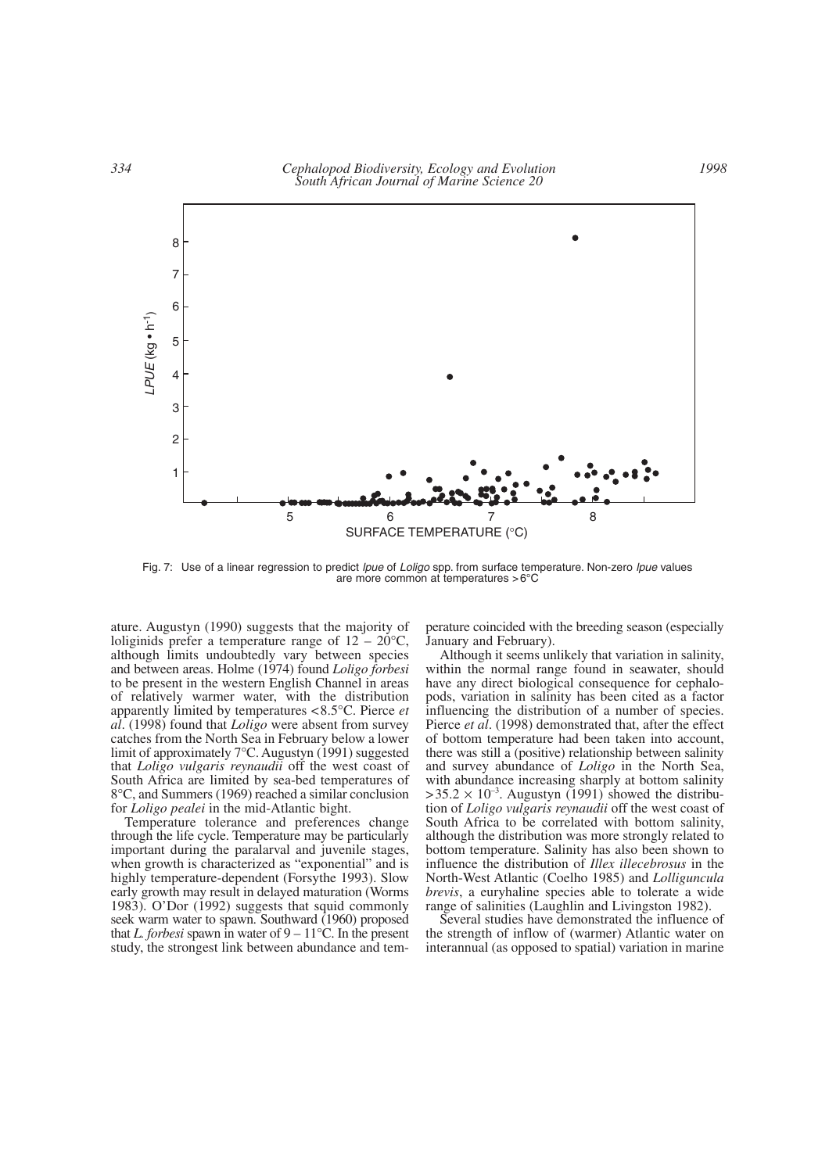

Fig. 7: Use of a linear regression to predict *lpue* of *Loligo* spp. from surface temperature. Non-zero *lpue* values are more common at temperatures >6°C

ature. Augustyn (1990) suggests that the majority of loliginids prefer a temperature range of  $12 - 20^{\circ}$ C, although limits undoubtedly vary between species and between areas. Holme (1974) found *Loligo forbesi* to be present in the western English Channel in areas of relatively warmer water, with the distribution apparently limited by temperatures <8.5°C. Pierce *et al*. (1998) found that *Loligo* were absent from survey catches from the North Sea in February below a lower limit of approximately 7°C. Augustyn (1991) suggested that *Loligo vulgaris reynaudii* off the west coast of South Africa are limited by sea-bed temperatures of 8°C, and Summers (1969) reached a similar conclusion for *Loligo pealei* in the mid-Atlantic bight.

Temperature tolerance and preferences change through the life cycle. Temperature may be particularly important during the paralarval and juvenile stages, when growth is characterized as "exponential" and is highly temperature-dependent (Forsythe 1993). Slow early growth may result in delayed maturation (Worms 1983). O'Dor (1992) suggests that squid commonly seek warm water to spawn. Southward (1960) proposed that *L. forbesi* spawn in water of  $9 - 11^{\circ}$ C. In the present study, the strongest link between abundance and temperature coincided with the breeding season (especially January and February).

Although it seems unlikely that variation in salinity, within the normal range found in seawater, should have any direct biological consequence for cephalopods, variation in salinity has been cited as a factor influencing the distribution of a number of species. Pierce *et al*. (1998) demonstrated that, after the effect of bottom temperature had been taken into account, there was still a (positive) relationship between salinity and survey abundance of *Loligo* in the North Sea, with abundance increasing sharply at bottom salinity  $>35.2 \times 10^{-3}$ . Augustyn (1991) showed the distribution of *Loligo vulgaris reynaudii* off the west coast of South Africa to be correlated with bottom salinity, although the distribution was more strongly related to bottom temperature. Salinity has also been shown to influence the distribution of *Illex illecebrosus* in the North-West Atlantic (Coelho 1985) and *Lolliguncula brevis*, a euryhaline species able to tolerate a wide range of salinities (Laughlin and Livingston 1982).

Several studies have demonstrated the influence of the strength of inflow of (warmer) Atlantic water on interannual (as opposed to spatial) variation in marine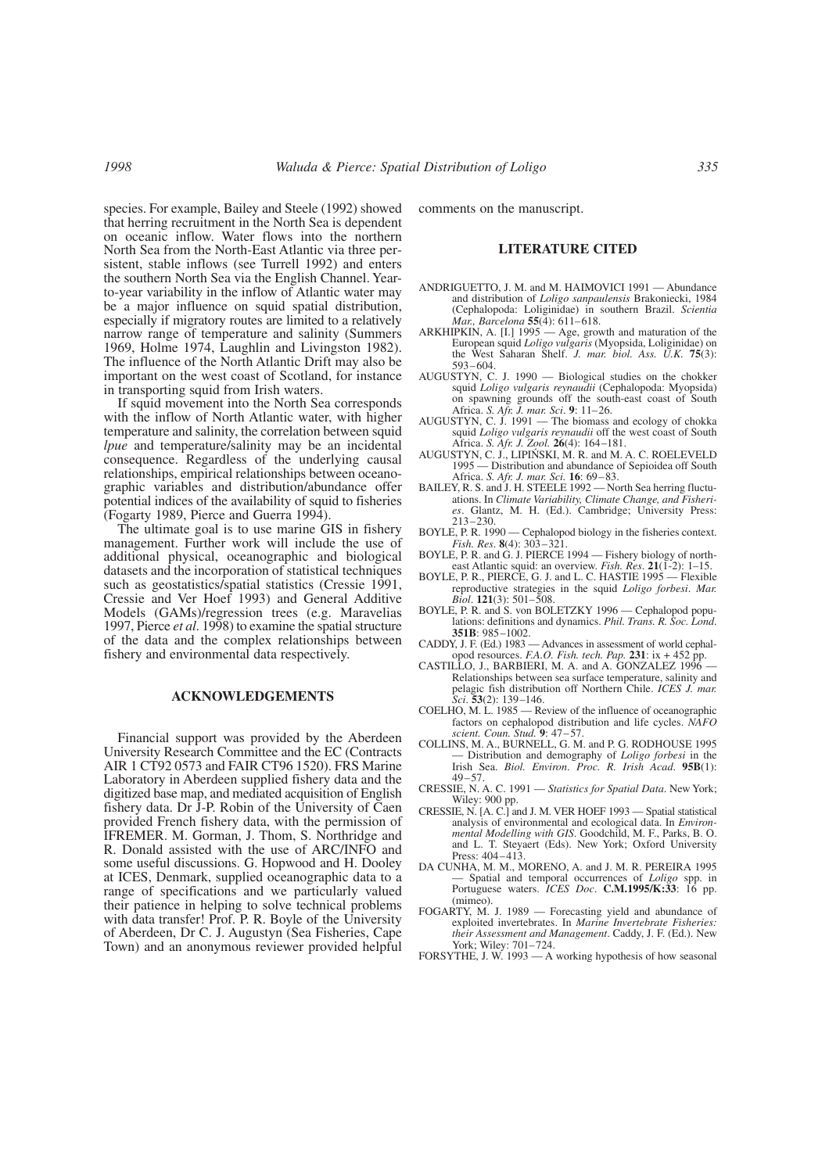species. For example, Bailey and Steele (1992) showed that herring recruitment in the North Sea is dependent on oceanic inflow. Water flows into the northern North Sea from the North-East Atlantic via three persistent, stable inflows (see Turrell 1992) and enters the southern North Sea via the English Channel. Yearto-year variability in the inflow of Atlantic water may be a major influence on squid spatial distribution, especially if migratory routes are limited to a relatively narrow range of temperature and salinity (Summers 1969, Holme 1974, Laughlin and Livingston 1982). The influence of the North Atlantic Drift may also be important on the west coast of Scotland, for instance in transporting squid from Irish waters.

If squid movement into the North Sea corresponds with the inflow of North Atlantic water, with higher temperature and salinity, the correlation between squid *lpue* and temperature/salinity may be an incidental consequence. Regardless of the underlying causal relationships, empirical relationships between oceanographic variables and distribution/abundance offer potential indices of the availability of squid to fisheries (Fogarty 1989, Pierce and Guerra 1994).

The ultimate goal is to use marine GIS in fishery management. Further work will include the use of additional physical, oceanographic and biological datasets and the incorporation of statistical techniques such as geostatistics/spatial statistics (Cressie 1991, Cressie and Ver Hoef 1993) and General Additive Models (GAMs)/regression trees (e.g. Maravelias 1997, Pierce *et al*. 1998) to examine the spatial structure of the data and the complex relationships between fishery and environmental data respectively.

## **ACKNOWLEDGEMENTS**

Financial support was provided by the Aberdeen University Research Committee and the EC (Contracts AIR 1 CT92 0573 and FAIR CT96 1520). FRS Marine Laboratory in Aberdeen supplied fishery data and the digitized base map, and mediated acquisition of English fishery data. Dr J-P. Robin of the University of Caen provided French fishery data, with the permission of IFREMER. M. Gorman, J. Thom, S. Northridge and R. Donald assisted with the use of ARC/INFO and some useful discussions. G. Hopwood and H. Dooley at ICES, Denmark, supplied oceanographic data to a range of specifications and we particularly valued their patience in helping to solve technical problems with data transfer! Prof. P. R. Boyle of the University of Aberdeen, Dr C. J. Augustyn (Sea Fisheries, Cape Town) and an anonymous reviewer provided helpful

comments on the manuscript.

### **LITERATURE CITED**

- ANDRIGUETTO, J. M. and M. HAIMOVICI 1991 Abundance and distribution of *Loligo sanpaulensis* Brakoniecki, 1984 (Cephalopoda: Loliginidae) in southern Brazil. *Scientia Mar., Barcelona* **55**(4): 611–618.
- ARKHIPKIN, A. [I.] 1995 Age, growth and maturation of the European squid *Loligo vulgaris* (Myopsida, Loliginidae) on the West Saharan Shelf. *J. mar. biol. Ass. U.K.* **75**(3): 593–604.
- AUGUSTYN, C. J. 1990 Biological studies on the chokker squid *Loligo vulgaris reynaudii* (Cephalopoda: Myopsida) on spawning grounds off the south-east coast of South Africa. *S. Afr. J. mar. Sci*. **9**: 11–26.
- AUGUSTYN, C. J. 1991 The biomass and ecology of chokka squid *Loligo vulgaris reynaudii* off the west coast of South Africa. *S. Afr. J. Zool.* **26**(4): 164–181.
- AUGUSTYN, C. J., LIPIŃSKI, M. R. and M. A. C. ROELEVELD 1995 — Distribution and abundance of Sepioidea off South Africa. *S. Afr. J. mar. Sci.* **16**: 69–83.
- BAILEY, R. S. and J. H. STEELE 1992 North Sea herring fluctuations. In *Climate Variability, Climate Change, and Fisheries*. Glantz, M. H. (Ed.). Cambridge; University Press: 213–230.
- BOYLE, P. R. 1990 Cephalopod biology in the fisheries context. *Fish. Res*. **8**(4): 303–321.
- BOYLE, P. R. and G. J. PIERCE 1994 Fishery biology of northeast Atlantic squid: an overview. *Fish. Res*. **21**(1-2): 1–15.
- BOYLE, P. R., PIERCE, G. J. and L. C. HASTIE 1995 Flexible reproductive strategies in the squid *Loligo forbesi*. *Mar. Biol*. **121**(3): 501–508.
- BOYLE, P. R. and S. von BOLETZKY 1996 Cephalopod populations: definitions and dynamics. *Phil. Trans. R. Soc. Lond*. **351B**: 985–1002.
- CADDY, J. F. (Ed.) 1983 Advances in assessment of world cephalopod resources. *F.A.O. Fish. tech. Pap.* **231**: ix + 452 pp.
- CASTILLO, J., BARBIERI, M. A. and A. GONZALEZ 1996 -Relationships between sea surface temperature, salinity and pelagic fish distribution off Northern Chile. *ICES J. mar. Sci*. **53**(2): 139–146.
- COELHO, M. L. 1985 Review of the influence of oceanographic factors on cephalopod distribution and life cycles. *NAFO scient. Coun. Stud.* **9**: 47–57.
- COLLINS, M. A., BURNELL, G. M. and P. G. RODHOUSE 1995 — Distribution and demography of *Loligo forbesi* in the Irish Sea. *Biol. Environ*. *Proc. R. Irish Acad*. **95B**(1):  $49 - 57$ .
- CRESSIE, N. A. C. 1991 *Statistics for Spatial Data*. New York; Wiley: 900 pp.
- CRESSIE, N. [A. C.] and J. M. VER HOEF 1993 Spatial statistical analysis of environmental and ecological data. In *Environmental Modelling with GIS*. Goodchild, M. F., Parks, B. O. and L. T. Steyaert (Eds). New York; Oxford University Press: 404–413.
- DA CUNHA, M. M., MORENO, A. and J. M. R. PEREIRA 1995 — Spatial and temporal occurrences of *Loligo* spp. in Portuguese waters. *ICES Doc*. **C.M.1995/K:33**: 16 pp. (mimeo).
- FOGARTY, M. J. 1989 Forecasting yield and abundance of exploited invertebrates. In *Marine Invertebrate Fisheries: their Assessment and Management*. Caddy, J. F. (Ed.). New York; Wiley: 701–724.
- FORSYTHE, J. W. 1993 A working hypothesis of how seasonal